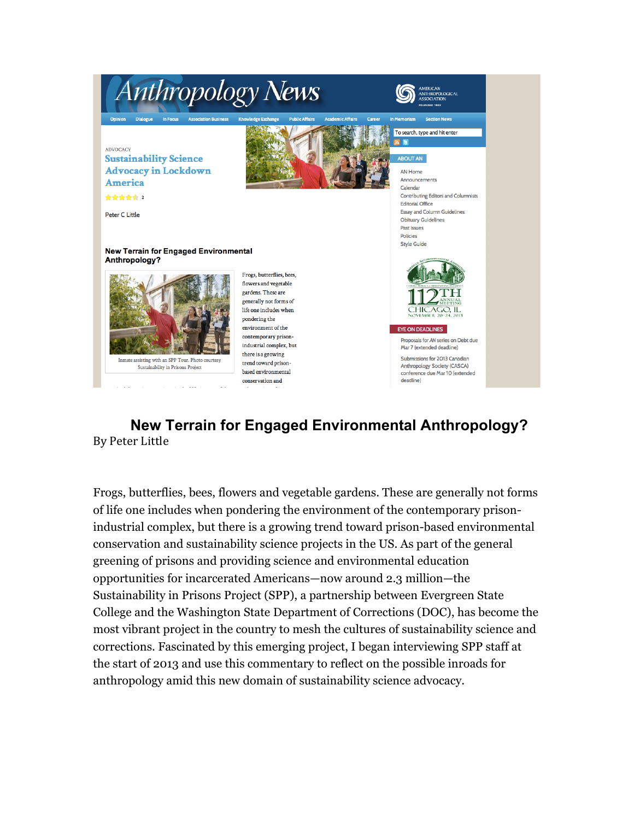

# **New Terrain for Engaged Environmental Anthropology?** By Peter Little

Frogs, butterflies, bees, flowers and vegetable gardens. These are generally not forms of life one includes when pondering the environment of the contemporary prisonindustrial complex, but there is a growing trend toward prison-based environmental conservation and sustainability science projects in the US. As part of the general greening of prisons and providing science and environmental education opportunities for incarcerated Americans—now around 2.3 million—the Sustainability in Prisons Project (SPP), a partnership between Evergreen State College and the Washington State Department of Corrections (DOC), has become the most vibrant project in the country to mesh the cultures of sustainability science and corrections. Fascinated by this emerging project, I began interviewing SPP staff at the start of 2013 and use this commentary to reflect on the possible inroads for anthropology amid this new domain of sustainability science advocacy.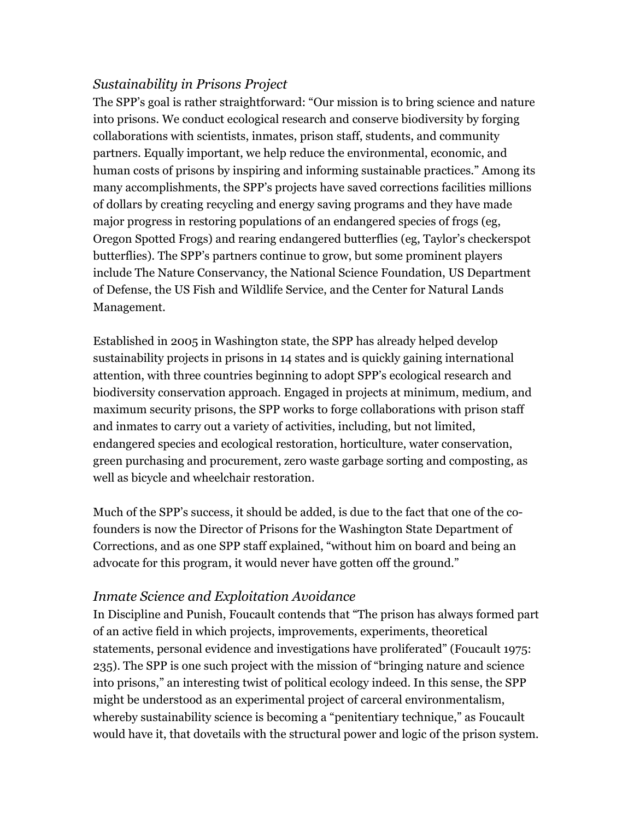## *Sustainability in Prisons Project*

The SPP's goal is rather straightforward: "Our mission is to bring science and nature into prisons. We conduct ecological research and conserve biodiversity by forging collaborations with scientists, inmates, prison staff, students, and community partners. Equally important, we help reduce the environmental, economic, and human costs of prisons by inspiring and informing sustainable practices." Among its many accomplishments, the SPP's projects have saved corrections facilities millions of dollars by creating recycling and energy saving programs and they have made major progress in restoring populations of an endangered species of frogs (eg, Oregon Spotted Frogs) and rearing endangered butterflies (eg, Taylor's checkerspot butterflies). The SPP's partners continue to grow, but some prominent players include The Nature Conservancy, the National Science Foundation, US Department of Defense, the US Fish and Wildlife Service, and the Center for Natural Lands Management.

Established in 2005 in Washington state, the SPP has already helped develop sustainability projects in prisons in 14 states and is quickly gaining international attention, with three countries beginning to adopt SPP's ecological research and biodiversity conservation approach. Engaged in projects at minimum, medium, and maximum security prisons, the SPP works to forge collaborations with prison staff and inmates to carry out a variety of activities, including, but not limited, endangered species and ecological restoration, horticulture, water conservation, green purchasing and procurement, zero waste garbage sorting and composting, as well as bicycle and wheelchair restoration.

Much of the SPP's success, it should be added, is due to the fact that one of the cofounders is now the Director of Prisons for the Washington State Department of Corrections, and as one SPP staff explained, "without him on board and being an advocate for this program, it would never have gotten off the ground."

## *Inmate Science and Exploitation Avoidance*

In Discipline and Punish, Foucault contends that "The prison has always formed part of an active field in which projects, improvements, experiments, theoretical statements, personal evidence and investigations have proliferated" (Foucault 1975: 235). The SPP is one such project with the mission of "bringing nature and science into prisons," an interesting twist of political ecology indeed. In this sense, the SPP might be understood as an experimental project of carceral environmentalism, whereby sustainability science is becoming a "penitentiary technique," as Foucault would have it, that dovetails with the structural power and logic of the prison system.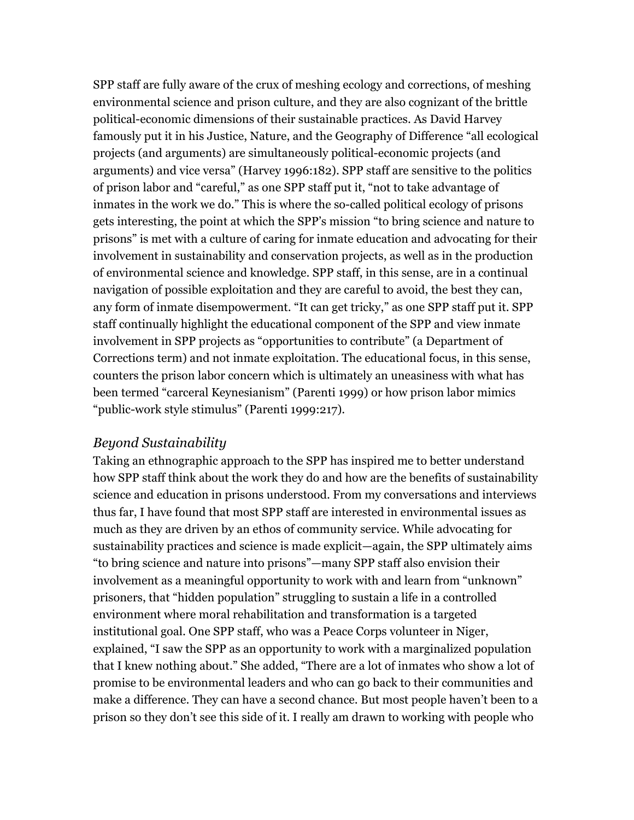SPP staff are fully aware of the crux of meshing ecology and corrections, of meshing environmental science and prison culture, and they are also cognizant of the brittle political-economic dimensions of their sustainable practices. As David Harvey famously put it in his Justice, Nature, and the Geography of Difference "all ecological projects (and arguments) are simultaneously political-economic projects (and arguments) and vice versa" (Harvey 1996:182). SPP staff are sensitive to the politics of prison labor and "careful," as one SPP staff put it, "not to take advantage of inmates in the work we do." This is where the so-called political ecology of prisons gets interesting, the point at which the SPP's mission "to bring science and nature to prisons" is met with a culture of caring for inmate education and advocating for their involvement in sustainability and conservation projects, as well as in the production of environmental science and knowledge. SPP staff, in this sense, are in a continual navigation of possible exploitation and they are careful to avoid, the best they can, any form of inmate disempowerment. "It can get tricky," as one SPP staff put it. SPP staff continually highlight the educational component of the SPP and view inmate involvement in SPP projects as "opportunities to contribute" (a Department of Corrections term) and not inmate exploitation. The educational focus, in this sense, counters the prison labor concern which is ultimately an uneasiness with what has been termed "carceral Keynesianism" (Parenti 1999) or how prison labor mimics "public-work style stimulus" (Parenti 1999:217).

#### *Beyond Sustainability*

Taking an ethnographic approach to the SPP has inspired me to better understand how SPP staff think about the work they do and how are the benefits of sustainability science and education in prisons understood. From my conversations and interviews thus far, I have found that most SPP staff are interested in environmental issues as much as they are driven by an ethos of community service. While advocating for sustainability practices and science is made explicit—again, the SPP ultimately aims "to bring science and nature into prisons"—many SPP staff also envision their involvement as a meaningful opportunity to work with and learn from "unknown" prisoners, that "hidden population" struggling to sustain a life in a controlled environment where moral rehabilitation and transformation is a targeted institutional goal. One SPP staff, who was a Peace Corps volunteer in Niger, explained, "I saw the SPP as an opportunity to work with a marginalized population that I knew nothing about." She added, "There are a lot of inmates who show a lot of promise to be environmental leaders and who can go back to their communities and make a difference. They can have a second chance. But most people haven't been to a prison so they don't see this side of it. I really am drawn to working with people who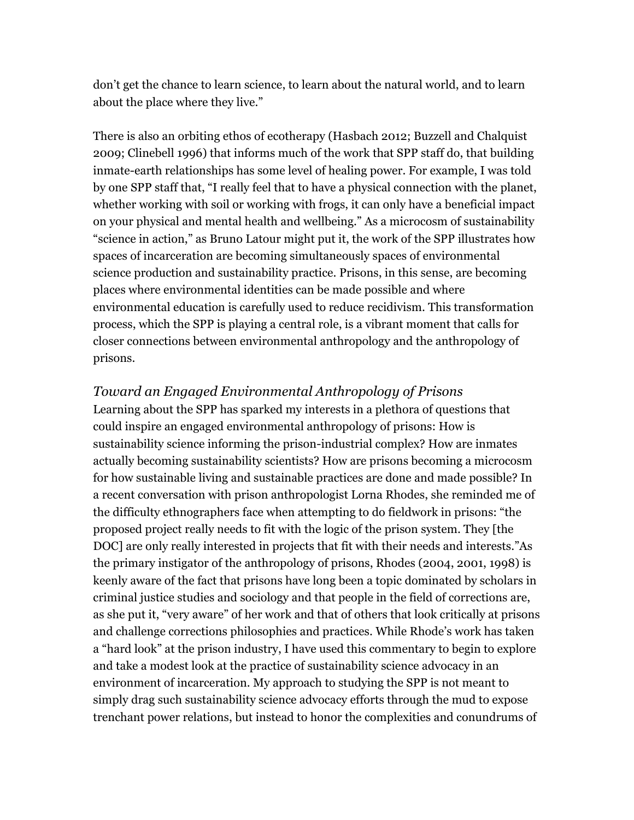don't get the chance to learn science, to learn about the natural world, and to learn about the place where they live."

There is also an orbiting ethos of ecotherapy (Hasbach 2012; Buzzell and Chalquist 2009; Clinebell 1996) that informs much of the work that SPP staff do, that building inmate-earth relationships has some level of healing power. For example, I was told by one SPP staff that, "I really feel that to have a physical connection with the planet, whether working with soil or working with frogs, it can only have a beneficial impact on your physical and mental health and wellbeing." As a microcosm of sustainability "science in action," as Bruno Latour might put it, the work of the SPP illustrates how spaces of incarceration are becoming simultaneously spaces of environmental science production and sustainability practice. Prisons, in this sense, are becoming places where environmental identities can be made possible and where environmental education is carefully used to reduce recidivism. This transformation process, which the SPP is playing a central role, is a vibrant moment that calls for closer connections between environmental anthropology and the anthropology of prisons.

#### *Toward an Engaged Environmental Anthropology of Prisons*

Learning about the SPP has sparked my interests in a plethora of questions that could inspire an engaged environmental anthropology of prisons: How is sustainability science informing the prison-industrial complex? How are inmates actually becoming sustainability scientists? How are prisons becoming a microcosm for how sustainable living and sustainable practices are done and made possible? In a recent conversation with prison anthropologist Lorna Rhodes, she reminded me of the difficulty ethnographers face when attempting to do fieldwork in prisons: "the proposed project really needs to fit with the logic of the prison system. They [the DOC] are only really interested in projects that fit with their needs and interests."As the primary instigator of the anthropology of prisons, Rhodes (2004, 2001, 1998) is keenly aware of the fact that prisons have long been a topic dominated by scholars in criminal justice studies and sociology and that people in the field of corrections are, as she put it, "very aware" of her work and that of others that look critically at prisons and challenge corrections philosophies and practices. While Rhode's work has taken a "hard look" at the prison industry, I have used this commentary to begin to explore and take a modest look at the practice of sustainability science advocacy in an environment of incarceration. My approach to studying the SPP is not meant to simply drag such sustainability science advocacy efforts through the mud to expose trenchant power relations, but instead to honor the complexities and conundrums of